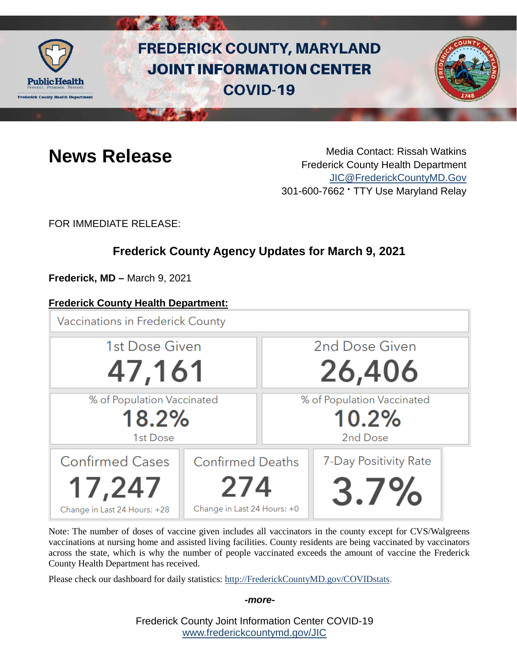

# **FREDERICK COUNTY, MARYLAND JOINT INFORMATION CENTER COVID-19**



**News Release** Media Contact: Rissah Watkins Frederick County Health Department [JIC@FrederickCountyMD.Gov](mailto:JIC@FrederickCountyMD.Gov) 301-600-7662 • TTY Use Maryland Relay

FOR IMMEDIATE RELEASE:

# **Frederick County Agency Updates for March 9, 2021**

**Frederick, MD –** March 9, 2021

## **Frederick County Health Department:**

**Vaccinations in Frederick County** 



Note: The number of doses of vaccine given includes all vaccinators in the county except for CVS/Walgreens vaccinations at nursing home and assisted living facilities. County residents are being vaccinated by vaccinators across the state, which is why the number of people vaccinated exceeds the amount of vaccine the Frederick County Health Department has received.

Please check our dashboard for daily statistics: [http://FrederickCountyMD.gov/COVIDstats.](http://frederickcountymd.gov/COVIDstats)

#### *-more-*

Frederick County Joint Information Center COVID-19 [www.frederickcountymd.gov/JIC](https://frederickcountymd.gov/JIC)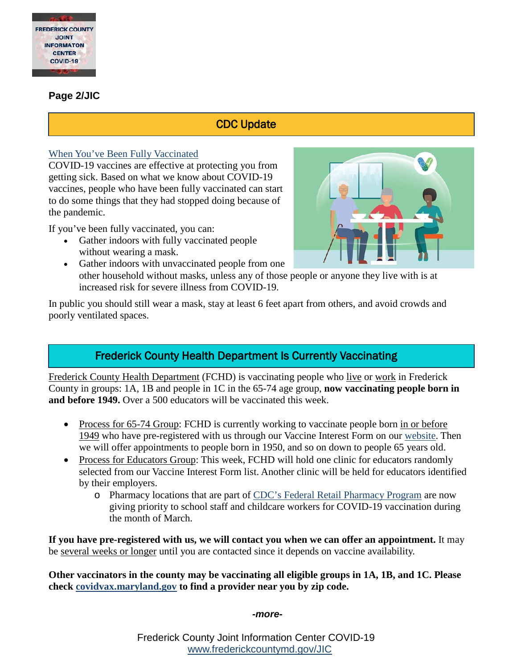

#### **Page 2/JIC**

# CDC Update

#### [When You've Been Fully Vaccinated](https://www.cdc.gov/coronavirus/2019-ncov/vaccines/fully-vaccinated-guidance.html)

COVID-19 vaccines are effective at protecting you from getting sick. Based on what we know about COVID-19 vaccines, people who have been fully vaccinated can start to do some things that they had stopped doing because of the pandemic.

If you've been fully vaccinated, you can:

- Gather indoors with fully vaccinated people without wearing a mask.
- 
- Gather indoors with unvaccinated people from one other household without masks, unless any of those people or anyone they live with is at increased risk for severe illness from COVID-19.

In public you should still wear a mask, stay at least 6 feet apart from others, and avoid crowds and poorly ventilated spaces.

# Frederick County Health Department Is Currently Vaccinating

Frederick County Health Department (FCHD) is vaccinating people who live or work in Frederick County in groups: 1A, 1B and people in 1C in the 65-74 age group, **now vaccinating people born in and before 1949.** Over a 500 educators will be vaccinated this week.

- Process for 65-74 Group: FCHD is currently working to vaccinate people born in or before 1949 who have pre-registered with us through our Vaccine Interest Form on our [website.](https://health.frederickcountymd.gov/629/COVID-19-Vaccine) Then we will offer appointments to people born in 1950, and so on down to people 65 years old.
- Process for Educators Group: This week, FCHD will hold one clinic for educators randomly selected from our Vaccine Interest Form list. Another clinic will be held for educators identified by their employers.
	- o Pharmacy locations that are part of [CDC's Federal Retail Pharmacy Program](https://www.cdc.gov/vaccines/covid-19/retail-pharmacy-program/index.html) are now giving priority to school staff and childcare workers for COVID-19 vaccination during the month of March.

**If you have pre-registered with us, we will contact you when we can offer an appointment.** It may be several weeks or longer until you are contacted since it depends on vaccine availability.

**Other vaccinators in the county may be vaccinating all eligible groups in 1A, 1B, and 1C. Please check [covidvax.maryland.gov](https://coronavirus.maryland.gov/pages/vaccine) to find a provider near you by zip code.**

*-more-*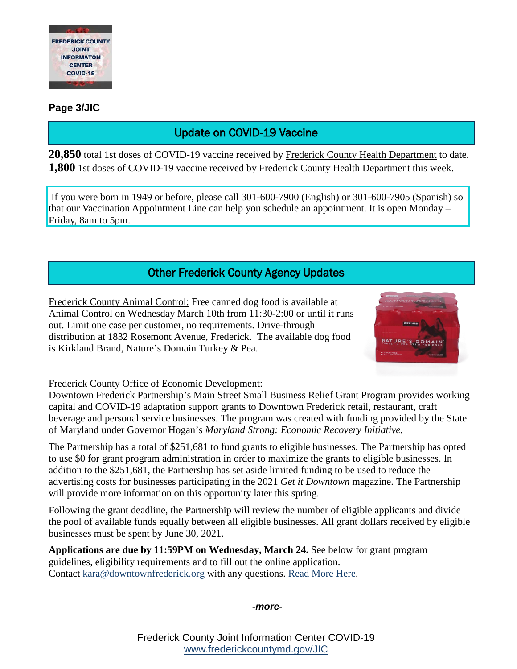

### **Page 3/JIC**

# Update on COVID-19 Vaccine

**20,850** total 1st doses of COVID-19 vaccine received by Frederick County Health Department to date. **1,800** 1st doses of COVID-19 vaccine received by Frederick County Health Department this week.

If you were born in 1949 or before, please call 301-600-7900 (English) or 301-600-7905 (Spanish) so that our Vaccination Appointment Line can help you schedule an appointment. It is open Monday – Friday, 8am to 5pm.

# Other Frederick County Agency Updates

Frederick County Animal Control: Free canned dog food is available at Animal Control on Wednesday March 10th from 11:30-2:00 or until it runs out. Limit one case per customer, no requirements. Drive-through distribution at 1832 Rosemont Avenue, Frederick. The available dog food is Kirkland Brand, Nature's Domain Turkey & Pea.



#### Frederick County Office of Economic Development:

Downtown Frederick Partnership's Main Street Small Business Relief Grant Program provides working capital and COVID-19 adaptation support grants to Downtown Frederick retail, restaurant, craft beverage and personal service businesses. The program was created with funding provided by the State of Maryland under Governor Hogan's *Maryland Strong: Economic Recovery Initiative.*

The Partnership has a total of \$251,681 to fund grants to eligible businesses. The Partnership has opted to use \$0 for grant program administration in order to maximize the grants to eligible businesses. In addition to the \$251,681, the Partnership has set aside limited funding to be used to reduce the advertising costs for businesses participating in the 2021 *Get it Downtown* magazine. The Partnership will provide more information on this opportunity later this spring.

Following the grant deadline, the Partnership will review the number of eligible applicants and divide the pool of available funds equally between all eligible businesses. All grant dollars received by eligible businesses must be spent by June 30, 2021.

**Applications are due by 11:59PM on Wednesday, March 24.** See below for grant program guidelines, eligibility requirements and to fill out the online application. Contact [kara@downtownfrederick.org](mailto:kara@downtownfrederick.org) with any questions. [Read More Here.](https://downtownfrederick.org/mainstreetgrant/)

*-more-*